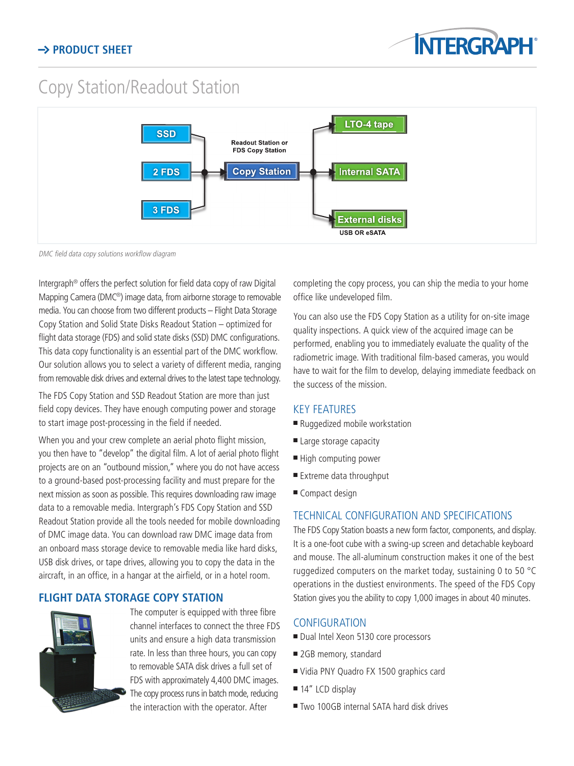# Copy Station/Readout Station



DMC field data copy solutions workflow diagram

Intergraph® offers the perfect solution for field data copy of raw Digital Mapping Camera (DMC®) image data, from airborne storage to removable media. You can choose from two different products – Flight Data Storage Copy Station and Solid State Disks Readout Station – optimized for flight data storage (FDS) and solid state disks (SSD) DMC configurations. This data copy functionality is an essential part of the DMC workflow. Our solution allows you to select a variety of different media, ranging from removable disk drives and external drives to the latest tape technology.

The FDS Copy Station and SSD Readout Station are more than just field copy devices. They have enough computing power and storage to start image post-processing in the field if needed.

When you and your crew complete an aerial photo flight mission, you then have to "develop" the digital film. A lot of aerial photo flight projects are on an "outbound mission," where you do not have access to a ground-based post-processing facility and must prepare for the next mission as soon as possible. This requires downloading raw image data to a removable media. Intergraph's FDS Copy Station and SSD Readout Station provide all the tools needed for mobile downloading of DMC image data. You can download raw DMC image data from an onboard mass storage device to removable media like hard disks, USB disk drives, or tape drives, allowing you to copy the data in the aircraft, in an office, in a hangar at the airfield, or in a hotel room.

# **Flight Data Storage Copy Station**



The computer is equipped with three fibre channel interfaces to connect the three FDS units and ensure a high data transmission rate. In less than three hours, you can copy to removable SATA disk drives a full set of FDS with approximately 4,400 DMC images. The copy process runs in batch mode, reducing the interaction with the operator. After

completing the copy process, you can ship the media to your home office like undeveloped film.

You can also use the FDS Copy Station as a utility for on-site image quality inspections. A quick view of the acquired image can be performed, enabling you to immediately evaluate the quality of the radiometric image. With traditional film-based cameras, you would have to wait for the film to develop, delaying immediate feedback on the success of the mission.

#### Key Features

- Ruggedized mobile workstation
- Large storage capacity
- High computing power
- Extreme data throughput
- Compact design

#### Technical Configuration and Specifications

The FDS Copy Station boasts a new form factor, components, and display. It is a one-foot cube with a swing-up screen and detachable keyboard and mouse. The all-aluminum construction makes it one of the best ruggedized computers on the market today, sustaining 0 to 50 °C operations in the dustiest environments. The speed of the FDS Copy Station gives you the ability to copy 1,000 images in about 40 minutes.

#### **CONFIGURATION**

- Dual Intel Xeon 5130 core processors
- 2GB memory, standard
- Vidia PNY Quadro FX 1500 graphics card
- $\blacksquare$  14" LCD display
- Two 100GB internal SATA hard disk drives